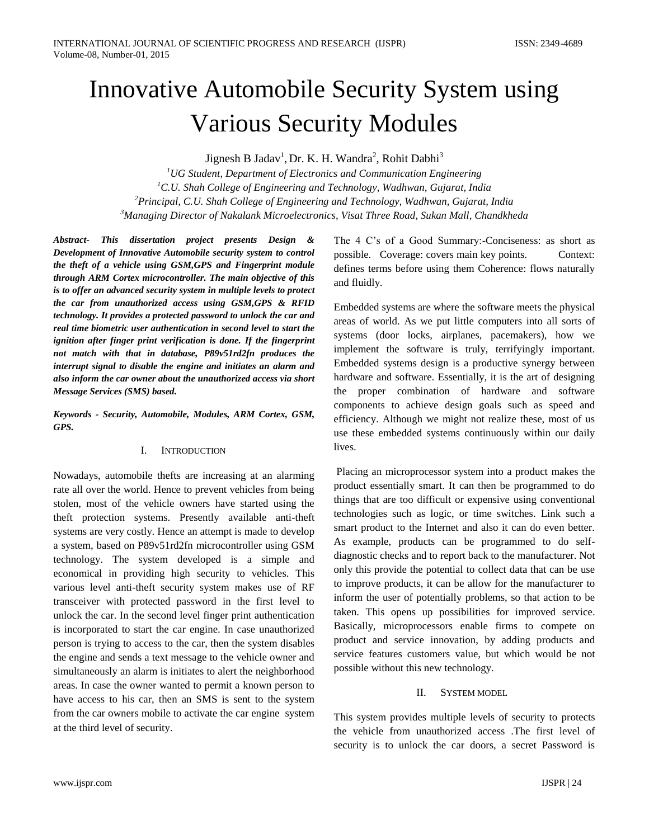# Innovative Automobile Security System using Various Security Modules

Jignesh B Jadav<sup>1</sup>, Dr. K. H. Wandra<sup>2</sup>, Rohit Dabhi<sup>3</sup>

*UG Student, Department of Electronics and Communication Engineering C.U. Shah College of Engineering and Technology, Wadhwan, Gujarat, India Principal, C.U. Shah College of Engineering and Technology, Wadhwan, Gujarat, India Managing Director of Nakalank Microelectronics, Visat Three Road, Sukan Mall, Chandkheda*

*Abstract- This dissertation project presents Design & Development of Innovative Automobile security system to control the theft of a vehicle using GSM,GPS and Fingerprint module through ARM Cortex microcontroller. The main objective of this is to offer an advanced security system in multiple levels to protect the car from unauthorized access using GSM,GPS & RFID technology. It provides a protected password to unlock the car and real time biometric user authentication in second level to start the ignition after finger print verification is done. If the fingerprint not match with that in database, P89v51rd2fn produces the interrupt signal to disable the engine and initiates an alarm and also inform the car owner about the unauthorized access via short Message Services (SMS) based.*

*Keywords - Security, Automobile, Modules, ARM Cortex, GSM, GPS.*

## I. INTRODUCTION

Nowadays, automobile thefts are increasing at an alarming rate all over the world. Hence to prevent vehicles from being stolen, most of the vehicle owners have started using the theft protection systems. Presently available anti-theft systems are very costly. Hence an attempt is made to develop a system, based on P89v51rd2fn microcontroller using GSM technology. The system developed is a simple and economical in providing high security to vehicles. This various level anti-theft security system makes use of RF transceiver with protected password in the first level to unlock the car. In the second level finger print authentication is incorporated to start the car engine. In case unauthorized person is trying to access to the car, then the system disables the engine and sends a text message to the vehicle owner and simultaneously an alarm is initiates to alert the neighborhood areas. In case the owner wanted to permit a known person to have access to his car, then an SMS is sent to the system from the car owners mobile to activate the car engine system at the third level of security.

The 4 C's of a Good Summary:-Conciseness: as short as possible. Coverage: covers main key points. Context: defines terms before using them Coherence: flows naturally and fluidly.

Embedded systems are where the software meets the physical areas of world. As we put little computers into all sorts of systems (door locks, airplanes, pacemakers), how we implement the software is truly, terrifyingly important. Embedded systems design is a productive synergy between hardware and software. Essentially, it is the art of designing the proper combination of hardware and software components to achieve design goals such as speed and efficiency. Although we might not realize these, most of us use these embedded systems continuously within our daily lives.

Placing an microprocessor system into a product makes the product essentially smart. It can then be programmed to do things that are too difficult or expensive using conventional technologies such as logic, or time switches. Link such a smart product to the Internet and also it can do even better. As example, products can be programmed to do selfdiagnostic checks and to report back to the manufacturer. Not only this provide the potential to collect data that can be use to improve products, it can be allow for the manufacturer to inform the user of potentially problems, so that action to be taken. This opens up possibilities for improved service. Basically, microprocessors enable firms to compete on product and service innovation, by adding products and service features customers value, but which would be not possible without this new technology.

## II. SYSTEM MODEL

This system provides multiple levels of security to protects the vehicle from unauthorized access .The first level of security is to unlock the car doors, a secret Password is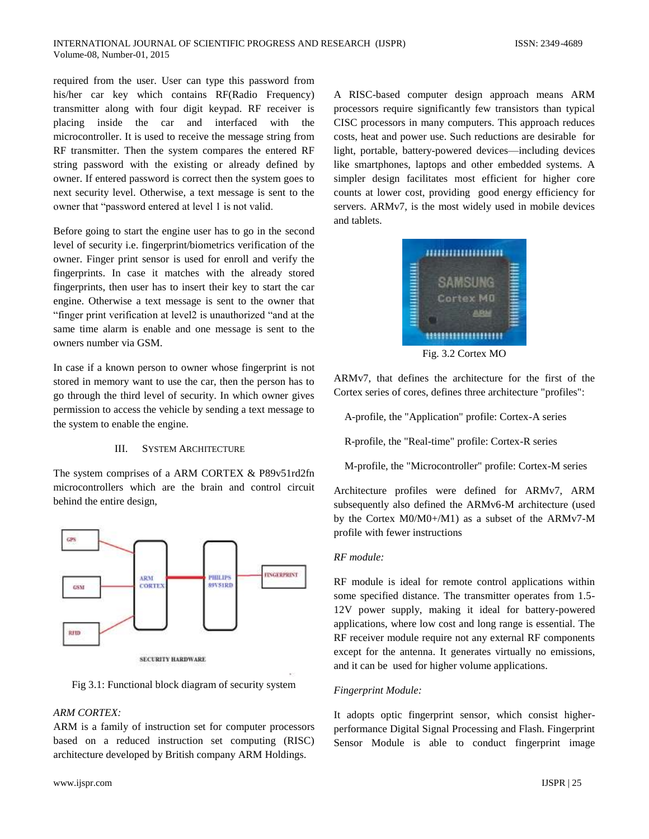required from the user. User can type this password from his/her car key which contains RF(Radio Frequency) transmitter along with four digit keypad. RF receiver is placing inside the car and interfaced with the microcontroller. It is used to receive the message string from RF transmitter. Then the system compares the entered RF string password with the existing or already defined by owner. If entered password is correct then the system goes to next security level. Otherwise, a text message is sent to the owner that "password entered at level 1 is not valid.

Before going to start the engine user has to go in the second level of security i.e. fingerprint/biometrics verification of the owner. Finger print sensor is used for enroll and verify the fingerprints. In case it matches with the already stored fingerprints, then user has to insert their key to start the car engine. Otherwise a text message is sent to the owner that "finger print verification at level2 is unauthorized "and at the same time alarm is enable and one message is sent to the owners number via GSM.

In case if a known person to owner whose fingerprint is not stored in memory want to use the car, then the person has to go through the third level of security. In which owner gives permission to access the vehicle by sending a text message to the system to enable the engine.

# III. SYSTEM ARCHITECTURE

The system comprises of a ARM CORTEX & P89v51rd2fn microcontrollers which are the brain and control circuit behind the entire design,



Fig 3.1: Functional block diagram of security system

#### *ARM CORTEX:*

ARM is a family of instruction set for computer processors based on a reduced instruction set computing (RISC) architecture developed by British company ARM Holdings.

A RISC-based computer design approach means ARM processors require significantly few transistors than typical CISC processors in many computers. This approach reduces costs, heat and power use. Such reductions are desirable for light, portable, battery-powered devices—including devices like smartphones, laptops and other embedded systems. A simpler design facilitates most efficient for higher core counts at lower cost, providing good energy efficiency for servers. ARMv7, is the most widely used in mobile devices and tablets.



Fig. 3.2 Cortex MO

ARMv7, that defines the architecture for the first of the Cortex series of cores, defines three architecture "profiles":

A-profile, the "Application" profile: Cortex-A series

R-profile, the "Real-time" profile: Cortex-R series

M-profile, the "Microcontroller" profile: Cortex-M series

Architecture profiles were defined for ARMv7, ARM subsequently also defined the ARMv6-M architecture (used by the Cortex M0/M0+/M1) as a subset of the ARMv7-M profile with fewer instructions

#### *RF module:*

RF module is ideal for remote control applications within some specified distance. The transmitter operates from 1.5- 12V power supply, making it ideal for battery-powered applications, where low cost and long range is essential. The RF receiver module require not any external RF components except for the antenna. It generates virtually no emissions, and it can be used for higher volume applications.

#### *Fingerprint Module:*

It adopts optic fingerprint sensor, which consist higherperformance Digital Signal Processing and Flash. Fingerprint Sensor Module is able to conduct fingerprint image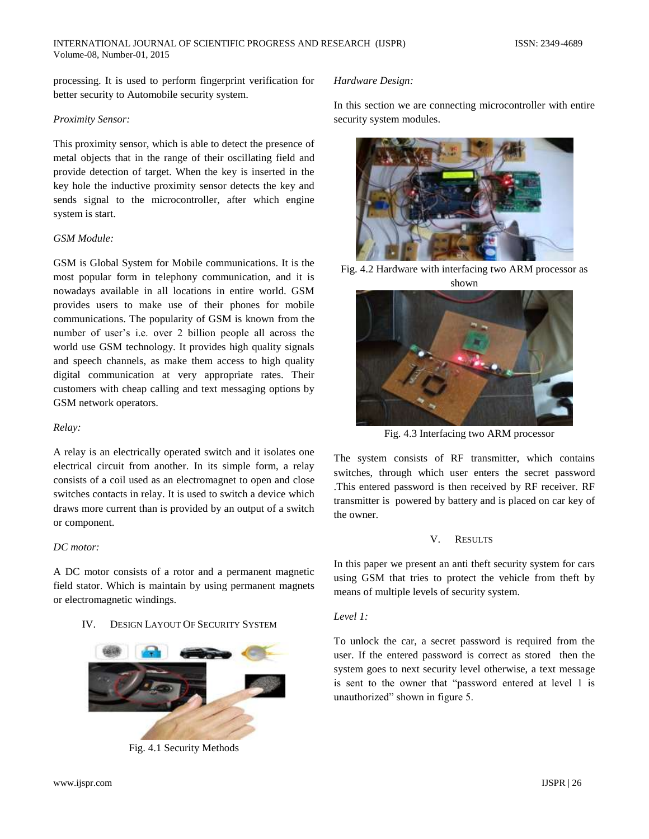processing. It is used to perform fingerprint verification for better security to Automobile security system.

## *Proximity Sensor:*

This proximity sensor, which is able to detect the presence of metal objects that in the range of their oscillating field and provide detection of target. When the key is inserted in the key hole the inductive proximity sensor detects the key and sends signal to the microcontroller, after which engine system is start.

#### *GSM Module:*

GSM is Global System for Mobile communications. It is the most popular form in telephony communication, and it is nowadays available in all locations in entire world. GSM provides users to make use of their phones for mobile communications. The popularity of GSM is known from the number of user's i.e. over 2 billion people all across the world use GSM technology. It provides high quality signals and speech channels, as make them access to high quality digital communication at very appropriate rates. Their customers with cheap calling and text messaging options by GSM network operators.

## *Relay:*

A relay is an electrically operated switch and it isolates one electrical circuit from another. In its simple form, a relay consists of a coil used as an electromagnet to open and close switches contacts in relay. It is used to switch a device which draws more current than is provided by an output of a switch or component.

# *DC motor:*

A DC motor consists of a rotor and a permanent magnetic field stator. Which is maintain by using permanent magnets or electromagnetic windings.

# IV. DESIGN LAYOUT OF SECURITY SYSTEM



Fig. 4.1 Security Methods

## *Hardware Design:*

In this section we are connecting microcontroller with entire security system modules.



Fig. 4.2 Hardware with interfacing two ARM processor as shown



Fig. 4.3 Interfacing two ARM processor

The system consists of RF transmitter, which contains switches, through which user enters the secret password .This entered password is then received by RF receiver. RF transmitter is powered by battery and is placed on car key of the owner.

#### V. RESULTS

In this paper we present an anti theft security system for cars using GSM that tries to protect the vehicle from theft by means of multiple levels of security system.

#### *Level 1:*

To unlock the car, a secret password is required from the user. If the entered password is correct as stored then the system goes to next security level otherwise, a text message is sent to the owner that "password entered at level 1 is unauthorized" shown in figure 5.